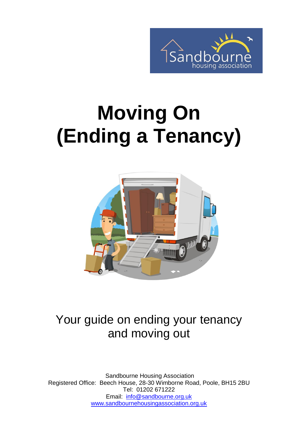

# **Moving On (Ending a Tenancy)**



### Your guide on ending your tenancy and moving out

Sandbourne Housing Association Registered Office: Beech House, 28-30 Wimborne Road, Poole, BH15 2BU Tel: 01202 671222 Email: [info@sandbourne.org.uk](mailto:info@sandbourne.org.uk) [www.sandbournehousingassociation.org.uk](http://www.sandbournehousingassociation.org.uk/)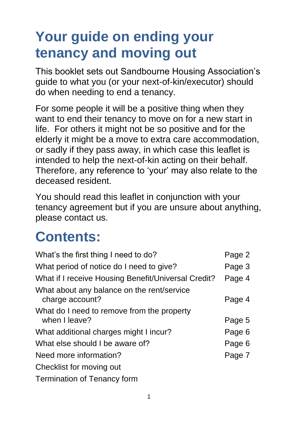### **Your guide on ending your tenancy and moving out**

This booklet sets out Sandbourne Housing Association's guide to what you (or your next-of-kin/executor) should do when needing to end a tenancy.

For some people it will be a positive thing when they want to end their tenancy to move on for a new start in life. For others it might not be so positive and for the elderly it might be a move to extra care accommodation, or sadly if they pass away, in which case this leaflet is intended to help the next-of-kin acting on their behalf. Therefore, any reference to 'your' may also relate to the deceased resident.

You should read this leaflet in conjunction with your tenancy agreement but if you are unsure about anything, please contact us.

### **Contents:**

| What's the first thing I need to do?                          | Page 2 |
|---------------------------------------------------------------|--------|
| What period of notice do I need to give?                      | Page 3 |
| What if I receive Housing Benefit/Universal Credit?           | Page 4 |
| What about any balance on the rent/service<br>charge account? | Page 4 |
| What do I need to remove from the property<br>when I leave?   | Page 5 |
| What additional charges might I incur?                        | Page 6 |
| What else should I be aware of?                               | Page 6 |
| Need more information?                                        | Page 7 |
| Checklist for moving out                                      |        |
| <b>Termination of Tenancy form</b>                            |        |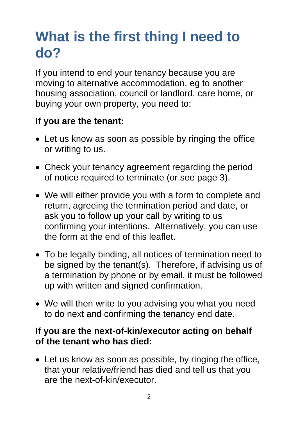### **What is the first thing I need to do?**

If you intend to end your tenancy because you are moving to alternative accommodation, eg to another housing association, council or landlord, care home, or buying your own property, you need to:

#### **If you are the tenant:**

- Let us know as soon as possible by ringing the office or writing to us.
- Check your tenancy agreement regarding the period of notice required to terminate (or see page 3).
- We will either provide you with a form to complete and return, agreeing the termination period and date, or ask you to follow up your call by writing to us confirming your intentions. Alternatively, you can use the form at the end of this leaflet.
- To be legally binding, all notices of termination need to be signed by the tenant(s). Therefore, if advising us of a termination by phone or by email, it must be followed up with written and signed confirmation.
- We will then write to you advising you what you need to do next and confirming the tenancy end date.

#### **If you are the next-of-kin/executor acting on behalf of the tenant who has died:**

 Let us know as soon as possible, by ringing the office, that your relative/friend has died and tell us that you are the next-of-kin/executor.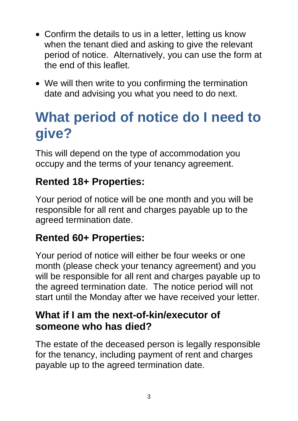- Confirm the details to us in a letter, letting us know when the tenant died and asking to give the relevant period of notice. Alternatively, you can use the form at the end of this leaflet.
- We will then write to you confirming the termination date and advising you what you need to do next.

### **What period of notice do I need to give?**

This will depend on the type of accommodation you occupy and the terms of your tenancy agreement.

#### **Rented 18+ Properties:**

Your period of notice will be one month and you will be responsible for all rent and charges payable up to the agreed termination date.

#### **Rented 60+ Properties:**

Your period of notice will either be four weeks or one month (please check your tenancy agreement) and you will be responsible for all rent and charges payable up to the agreed termination date. The notice period will not start until the Monday after we have received your letter.

#### **What if I am the next-of-kin/executor of someone who has died?**

The estate of the deceased person is legally responsible for the tenancy, including payment of rent and charges payable up to the agreed termination date.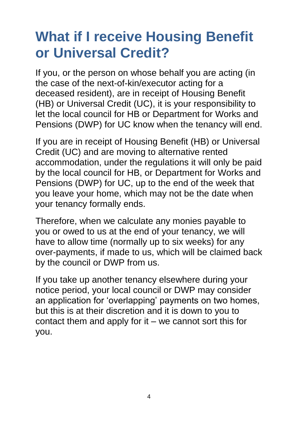### **What if I receive Housing Benefit or Universal Credit?**

If you, or the person on whose behalf you are acting (in the case of the next-of-kin/executor acting for a deceased resident), are in receipt of Housing Benefit (HB) or Universal Credit (UC), it is your responsibility to let the local council for HB or Department for Works and Pensions (DWP) for UC know when the tenancy will end.

If you are in receipt of Housing Benefit (HB) or Universal Credit (UC) and are moving to alternative rented accommodation, under the regulations it will only be paid by the local council for HB, or Department for Works and Pensions (DWP) for UC, up to the end of the week that you leave your home, which may not be the date when your tenancy formally ends.

Therefore, when we calculate any monies payable to you or owed to us at the end of your tenancy, we will have to allow time (normally up to six weeks) for any over-payments, if made to us, which will be claimed back by the council or DWP from us.

If you take up another tenancy elsewhere during your notice period, your local council or DWP may consider an application for 'overlapping' payments on two homes, but this is at their discretion and it is down to you to contact them and apply for it – we cannot sort this for you.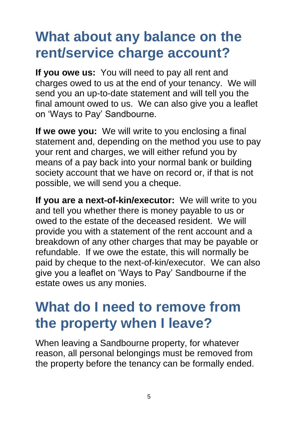### **What about any balance on the rent/service charge account?**

**If you owe us:** You will need to pay all rent and charges owed to us at the end of your tenancy. We will send you an up-to-date statement and will tell you the final amount owed to us. We can also give you a leaflet on 'Ways to Pay' Sandbourne.

**If we owe you:** We will write to you enclosing a final statement and, depending on the method you use to pay your rent and charges, we will either refund you by means of a pay back into your normal bank or building society account that we have on record or, if that is not possible, we will send you a cheque.

**If you are a next-of-kin/executor:** We will write to you and tell you whether there is money payable to us or owed to the estate of the deceased resident. We will provide you with a statement of the rent account and a breakdown of any other charges that may be payable or refundable. If we owe the estate, this will normally be paid by cheque to the next-of-kin/executor. We can also give you a leaflet on 'Ways to Pay' Sandbourne if the estate owes us any monies.

### **What do I need to remove from the property when I leave?**

When leaving a Sandbourne property, for whatever reason, all personal belongings must be removed from the property before the tenancy can be formally ended.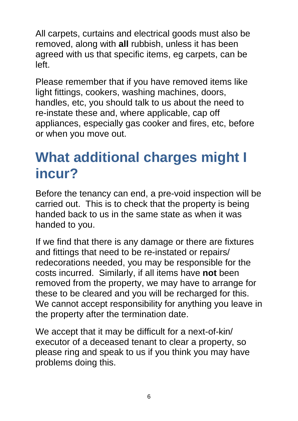All carpets, curtains and electrical goods must also be removed, along with **all** rubbish, unless it has been agreed with us that specific items, eg carpets, can be left.

Please remember that if you have removed items like light fittings, cookers, washing machines, doors, handles, etc, you should talk to us about the need to re-instate these and, where applicable, cap off appliances, especially gas cooker and fires, etc, before or when you move out.

### **What additional charges might I incur?**

Before the tenancy can end, a pre-void inspection will be carried out. This is to check that the property is being handed back to us in the same state as when it was handed to you.

If we find that there is any damage or there are fixtures and fittings that need to be re-instated or repairs/ redecorations needed, you may be responsible for the costs incurred. Similarly, if all items have **not** been removed from the property, we may have to arrange for these to be cleared and you will be recharged for this. We cannot accept responsibility for anything you leave in the property after the termination date.

We accept that it may be difficult for a next-of-kin/ executor of a deceased tenant to clear a property, so please ring and speak to us if you think you may have problems doing this.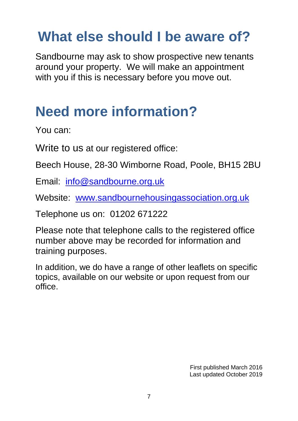### **What else should I be aware of?**

Sandbourne may ask to show prospective new tenants around your property. We will make an appointment with you if this is necessary before you move out.

### **Need more information?**

You can:

Write to us at our registered office:

Beech House, 28-30 Wimborne Road, Poole, BH15 2BU

Email: [info@sandbourne.org.uk](mailto:info@sandbourne.org.uk)

Website: [www.sandbournehousingassociation.org.uk](http://www.sandbournehousingassociation.org.uk/)

Telephone us on: 01202 671222

Please note that telephone calls to the registered office number above may be recorded for information and training purposes.

In addition, we do have a range of other leaflets on specific topics, available on our website or upon request from our office.

> First published March 2016 Last updated October 2019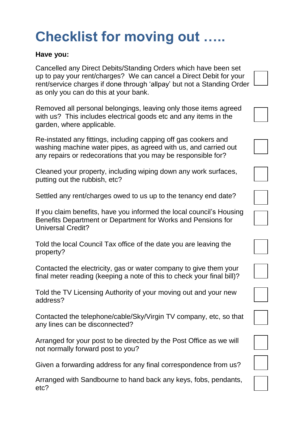## **Checklist for moving out …..**

#### **Have you:**

Cancelled any Direct Debits/Standing Orders which have been set up to pay your rent/charges? We can cancel a Direct Debit for your rent/service charges if done through 'allpay' but not a Standing Order as only you can do this at your bank.

Removed all personal belongings, leaving only those items agreed with us? This includes electrical goods etc and any items in the garden, where applicable.

Re-instated any fittings, including capping off gas cookers and washing machine water pipes, as agreed with us, and carried out any repairs or redecorations that you may be responsible for?

Cleaned your property, including wiping down any work surfaces, putting out the rubbish, etc?

Settled any rent/charges owed to us up to the tenancy end date?

If you claim benefits, have you informed the local council's Housing Benefits Department or Department for Works and Pensions for Universal Credit?

Told the local Council Tax office of the date you are leaving the property?

Contacted the electricity, gas or water company to give them your final meter reading (keeping a note of this to check your final bill)?

Told the TV Licensing Authority of your moving out and your new address?

Contacted the telephone/cable/Sky/Virgin TV company, etc, so that any lines can be disconnected?

Arranged for your post to be directed by the Post Office as we will not normally forward post to you?

Given a forwarding address for any final correspondence from us?

Arranged with Sandbourne to hand back any keys, fobs, pendants, etc?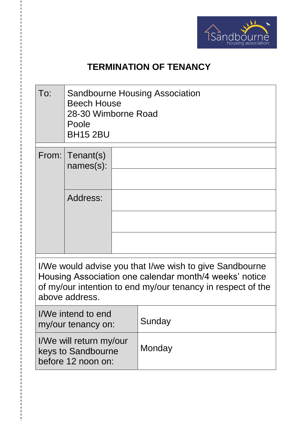

#### **TERMINATION OF TENANCY**

| To: | <b>Sandbourne Housing Association</b><br><b>Beech House</b><br>28-30 Wimborne Road<br>Poole<br><b>BH15 2BU</b> |  |  |  |  |  |  |
|-----|----------------------------------------------------------------------------------------------------------------|--|--|--|--|--|--|
|     | From: Tenant(s)<br>names(s):                                                                                   |  |  |  |  |  |  |
|     | Address:                                                                                                       |  |  |  |  |  |  |

I/We would advise you that I/we wish to give Sandbourne Housing Association one calendar month/4 weeks' notice of my/our intention to end my/our tenancy in respect of the above address.

| I/We intend to end<br>my/our tenancy on:                            | Sunday |
|---------------------------------------------------------------------|--------|
| I/We will return my/our<br>keys to Sandbourne<br>before 12 noon on: | Monday |